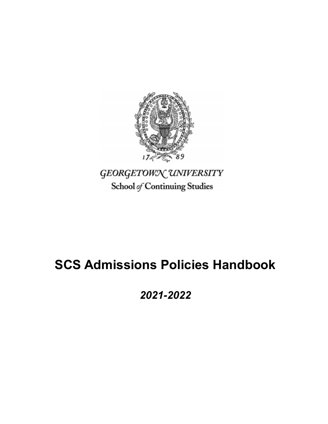

School of Continuing Studies

# **SCS Admissions Policies Handbook**

*2021-2022*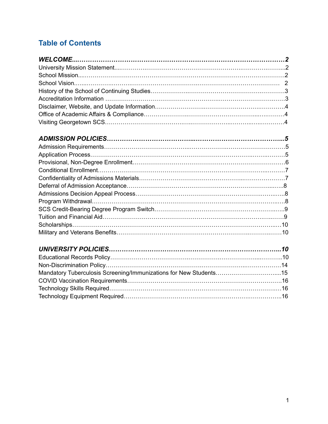# **Table of Conten[ts](https://docs.google.com/a/georgetown.edu/document/d/1iIqN2iqp62t-wTdIEQByF8W5eg3i_g9PqPbrnWWUass/edit#heading=h.gjdgxs)**

| Mandatory Tuberculosis Screening/Immunizations for New Students15 |  |
|-------------------------------------------------------------------|--|
|                                                                   |  |
|                                                                   |  |
|                                                                   |  |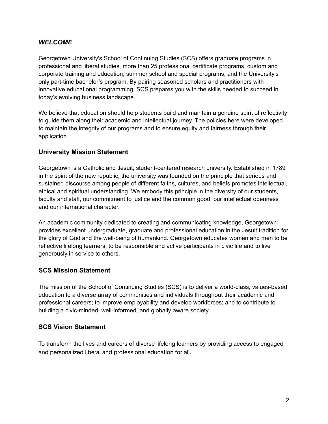#### *WELCOME*

Georgetown University's School of Continuing Studies (SCS) offers graduate programs in professional and liberal studies, more than 25 professional certificate programs, custom and corporate training and education, summer school and special programs, and the University's only part-time bachelor's program. By pairing seasoned scholars and practitioners with innovative educational programming, SCS prepares you with the skills needed to succeed in today's evolving business landscape.

We believe that education should help students build and maintain a genuine spirit of reflectivity to guide them along their academic and intellectual journey. The policies here were developed to maintain the integrity of our programs and to ensure equity and fairness through their application.

#### **University Mission Statement**

Georgetown is a Catholic and Jesuit, student-centered research university. Established in 1789 in the spirit of the new republic, the university was founded on the principle that serious and sustained discourse among people of different faiths, cultures, and beliefs promotes intellectual, ethical and spiritual understanding. We embody this principle in the diversity of our students, faculty and staff, our commitment to justice and the common good, our intellectual openness and our international character.

An academic community dedicated to creating and communicating knowledge, Georgetown provides excellent undergraduate, graduate and professional education in the Jesuit tradition for the glory of God and the well-being of humankind. Georgetown educates women and men to be reflective lifelong learners, to be responsible and active participants in civic life and to live generously in service to others.

# **SCS Mission Statement**

The mission of the School of Continuing Studies (SCS) is to deliver a world-class, values-based education to a diverse array of communities and individuals throughout their academic and professional careers; to improve employability and develop workforces; and to contribute to building a civic-minded, well-informed, and globally aware society.

#### **SCS Vision Statement**

To transform the lives and careers of diverse lifelong learners by providing access to engaged and personalized liberal and professional education for all.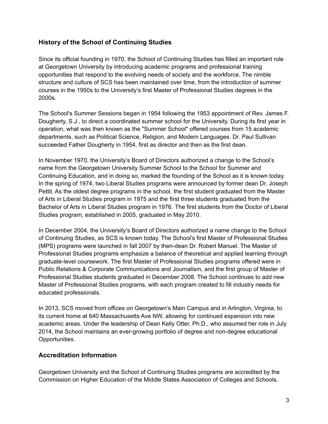# **History of the School of Continuing Studies**

Since its official founding in 1970, the School of Continuing Studies has filled an important role at Georgetown University by introducing academic programs and professional training opportunities that respond to the evolving needs of society and the workforce. The nimble structure and culture of SCS has been maintained over time, from the introduction of summer courses in the 1950s to the University's first Master of Professional Studies degrees in the 2000s.

The School's Summer Sessions began in 1954 following the 1953 appointment of Rev. James F. Dougherty, S.J., to direct a coordinated summer school for the University. During its first year in operation, what was then known as the "Summer School" offered courses from 15 academic departments, such as Political Science, Religion, and Modern Languages. Dr. Paul Sullivan succeeded Father Dougherty in 1954, first as director and then as the first dean.

In November 1970, the University's Board of Directors authorized a change to the School's name from the Georgetown University Summer School to the School for Summer and Continuing Education, and in doing so, marked the founding of the School as it is known today. In the spring of 1974, two Liberal Studies programs were announced by former dean Dr. Joseph Pettit. As the oldest degree programs in the school, the first student graduated from the Master of Arts in Liberal Studies program in 1975 and the first three students graduated from the Bachelor of Arts in Liberal Studies program in 1976. The first students from the Doctor of Liberal Studies program, established in 2005, graduated in May 2010.

In December 2004, the University's Board of Directors authorized a name change to the School of Continuing Studies, as SCS is known today. The School's first Master of Professional Studies (MPS) programs were launched in fall 2007 by then-dean Dr. Robert Manuel. The Master of Professional Studies programs emphasize a balance of theoretical and applied learning through graduate-level coursework. The first Master of Professional Studies programs offered were in Public Relations & Corporate Communications and Journalism, and the first group of Master of Professional Studies students graduated in December 2008. The School continues to add new Master of Professional Studies programs, with each program created to fill industry needs for educated professionals.

In 2013, SCS moved from offices on Georgetown's Main Campus and in Arlington, Virginia, to its current home at 640 Massachusetts Ave NW, allowing for continued expansion into new academic areas. Under the leadership of Dean Kelly Otter, Ph.D., who assumed her role in July 2014, the School maintains an ever-growing portfolio of degree and non-degree educational Opportunities.

#### **Accreditation Information**

Georgetown University and the School of Continuing Studies programs are accredited by the Commission on Higher Education of the Middle States Association of Colleges and Schools.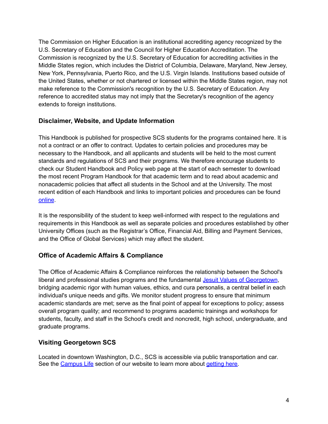The Commission on Higher Education is an institutional accrediting agency recognized by the U.S. Secretary of Education and the Council for Higher Education Accreditation. The Commission is recognized by the U.S. Secretary of Education for accrediting activities in the Middle States region, which includes the District of Columbia, Delaware, Maryland, New Jersey, New York, Pennsylvania, Puerto Rico, and the U.S. Virgin Islands. Institutions based outside of the United States, whether or not chartered or licensed within the Middle States region, may not make reference to the Commission's recognition by the U.S. Secretary of Education. Any reference to accredited status may not imply that the Secretary's recognition of the agency extends to foreign institutions.

# **Disclaimer, Website, and Update Information**

This Handbook is published for prospective SCS students for the programs contained here. It is not a contract or an offer to contract. Updates to certain policies and procedures may be necessary to the Handbook, and all applicants and students will be held to the most current standards and regulations of SCS and their programs. We therefore encourage students to check our Student Handbook and Policy web page at the start of each semester to download the most recent Program Handbook for that academic term and to read about academic and nonacademic policies that affect all students in the School and at the University. The most recent edition of each Handbook and links to important policies and procedures can be found [online](https://scs.georgetown.edu/resources-current-students/student-handbooks/).

It is the responsibility of the student to keep well-informed with respect to the regulations and requirements in this Handbook as well as separate policies and procedures established by other University Offices (such as the Registrar's Office, Financial Aid, Billing and Payment Services, and the Office of Global Services) which may affect the student.

# **Office of Academic Affairs & Compliance**

The Office of Academic Affairs & Compliance reinforces the relationship between the School's liberal and professional studies programs and the fundamental Jesuit Values of [Georgetown](https://missionandministry.georgetown.edu/mission/spirit-of-georgetown/), bridging academic rigor with human values, ethics, and cura personalis, a central belief in each individual's unique needs and gifts. We monitor student progress to ensure that minimum academic standards are met; serve as the final point of appeal for exceptions to policy; assess overall program quality; and recommend to programs academic trainings and workshops for students, faculty, and staff in the School's credit and noncredit, high school, undergraduate, and graduate programs.

# **Visiting Georgetown SCS**

Located in downtown Washington, D.C., SCS is accessible via public transportation and car. See the [Campus](https://scs.georgetown.edu/about/our-campus/) Life sec[t](http://scs.georgetown.edu/about-scs/campus-life/getting-here)ion of our website to learn more about [getting](https://scs.georgetown.edu/about/our-campus/maps-directions/) here.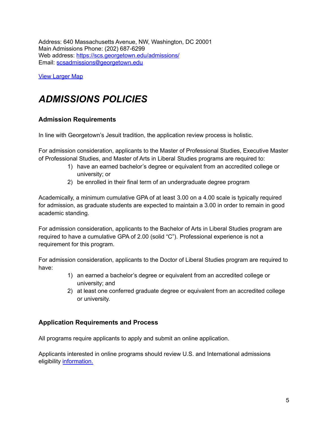Address: 640 Massachusetts Avenue, NW, Washington, DC 20001 Main Admissions Phone: (202) 687-6299 Web address: <https://scs.georgetown.edu/admissions/> Email: [scsadmissions@georgetown.edu](mailto:scsadmissions@georgetown.edu)

**View [Larger](https://www.google.com/maps/place/640+Massachusetts+Ave+NW,+Washington,+DC+20001/@38.901788,-77.021027,14z/data=!4m5!3m4!1s0x89b7b78d84d05d4b:0x77883c63c0c2cf79!8m2!3d38.9015958!4d-77.0212222?hl=en) Map** 

# *ADMISSIONS POLICIES*

#### **Admission Requirements**

In line with Georgetown's Jesuit tradition, the application review process is holistic.

For admission consideration, applicants to the Master of Professional Studies, Executive Master of Professional Studies, and Master of Arts in Liberal Studies programs are required to:

- 1) have an earned bachelor's degree or equivalent from an accredited college or university; or
- 2) be enrolled in their final term of an undergraduate degree program

Academically, a minimum cumulative GPA of at least 3.00 on a 4.00 scale is typically required for admission, as graduate students are expected to maintain a 3.00 in order to remain in good academic standing.

For admission consideration, applicants to the Bachelor of Arts in Liberal Studies program are required to have a cumulative GPA of 2.00 (solid "C"). Professional experience is not a requirement for this program.

For admission consideration, applicants to the Doctor of Liberal Studies program are required to have:

- 1) an earned a bachelor's degree or equivalent from an accredited college or university; and
- 2) at least one conferred graduate degree or equivalent from an accredited college or university.

#### **Application Requirements and Process**

All programs require applicants to apply and submit an online application.

Applicants interested in online programs should review U.S. and International admissions eligibility [information.](https://scs.georgetown.edu/admissions/online-students/#us)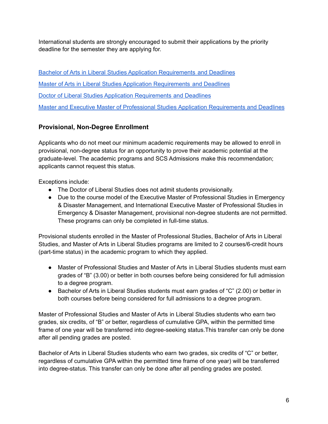International students are strongly encouraged to submit their applications by the priority deadline for the semester they are applying for.

Bachelor of Arts in Liberal Studies Application [Requirements](https://scs.georgetown.edu/programs/4/bachelor-of-arts-in-liberal-studies/how-to-apply) and Deadlines Master of Arts in Liberal Studies Application [Requirements](https://scs.georgetown.edu/programs/46/master-of-arts-in-liberal-studies/how-to-apply) and Deadlines Doctor of Liberal Studies Application [Requirements](https://scs.georgetown.edu/programs/43/doctor-of-liberal-studies/how-to-apply) and Deadlines Master and Executive Master of Professional Studies Application [Requirements](https://scs.georgetown.edu/admissions/how-to-apply/masters-degrees/) and Deadlines

# **Provisional, Non-Degree Enrollment**

Applicants who do not meet our minimum academic requirements may be allowed to enroll in provisional, non-degree status for an opportunity to prove their academic potential at the graduate-level. The academic programs and SCS Admissions make this recommendation; applicants cannot request this status.

Exceptions include:

- The Doctor of Liberal Studies does not admit students provisionally.
- Due to the course model of the Executive Master of Professional Studies in Emergency & Disaster Management, and International Executive Master of Professional Studies in Emergency & Disaster Management, provisional non-degree students are not permitted. These programs can only be completed in full-time status.

Provisional students enrolled in the Master of Professional Studies, Bachelor of Arts in Liberal Studies, and Master of Arts in Liberal Studies programs are limited to 2 courses/6-credit hours (part-time status) in the academic program to which they applied.

- Master of Professional Studies and Master of Arts in Liberal Studies students must earn grades of "B" (3.00) or better in both courses before being considered for full admission to a degree program.
- Bachelor of Arts in Liberal Studies students must earn grades of "C" (2.00) or better in both courses before being considered for full admissions to a degree program.

Master of Professional Studies and Master of Arts in Liberal Studies students who earn two grades, six credits, of "B" or better, regardless of cumulative GPA, within the permitted time frame of one year will be transferred into degree-seeking status.This transfer can only be done after all pending grades are posted.

Bachelor of Arts in Liberal Studies students who earn two grades, six credits of "C" or better, regardless of cumulative GPA within the permitted time frame of one year) will be transferred into degree-status. This transfer can only be done after all pending grades are posted.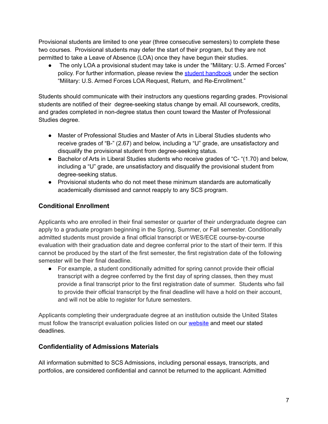Provisional students are limited to one year (three consecutive semesters) to complete these two courses. Provisional students may defer the start of their program, but they are not permitted to take a Leave of Absence (LOA) once they have begun their studies.

• The only LOA a provisional student may take is under the "Military: U.S. Armed Forces" policy. For further information, please review the student [handbook](https://scs.georgetown.edu/resources-current-students/student-handbooks/) under the section "Military: U.S. Armed Forces LOA Request, Return, and Re-Enrollment."

Students should communicate with their instructors any questions regarding grades. Provisional students are notified of their degree-seeking status change by email. All coursework, credits, and grades completed in non-degree status then count toward the Master of Professional Studies degree.

- Master of Professional Studies and Master of Arts in Liberal Studies students who receive grades of "B-" (2.67) and below, including a "U" grade, are unsatisfactory and disqualify the provisional student from degree-seeking status.
- Bachelor of Arts in Liberal Studies students who receive grades of "C- "(1.70) and below, including a "U" grade, are unsatisfactory and disqualify the provisional student from degree-seeking status.
- Provisional students who do not meet these minimum standards are automatically academically dismissed and cannot reapply to any SCS program.

# **Conditional Enrollment**

Applicants who are enrolled in their final semester or quarter of their undergraduate degree can apply to a graduate program beginning in the Spring, Summer, or Fall semester. Conditionally admitted students must provide a final official transcript or WES/ECE course-by-course evaluation with their graduation date and degree conferral prior to the start of their term. If this cannot be produced by the start of the first semester, the first registration date of the following semester will be their final deadline.

● For example, a student conditionally admitted for spring cannot provide their official transcript with a degree conferred by the first day of spring classes, then they must provide a final transcript prior to the first registration date of summer. Students who fail to provide their official transcript by the final deadline will have a hold on their account, and will not be able to register for future semesters.

Applicants completing their undergraduate degree at an institution outside the United States must follow the transcript evaluation policies listed on our [website](https://scs.georgetown.edu/admissions/international-students/transcripts/) and meet our stated deadlines.

# **Confidentiality of Admissions Materials**

All information submitted to SCS Admissions, including personal essays, transcripts, and portfolios, are considered confidential and cannot be returned to the applicant. Admitted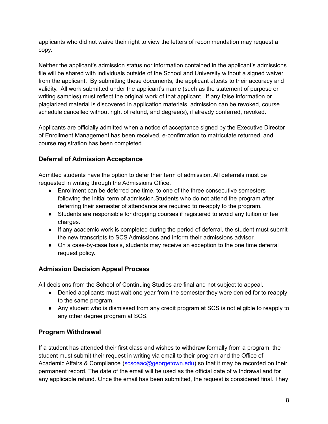applicants who did not waive their right to view the letters of recommendation may request a copy.

Neither the applicant's admission status nor information contained in the applicant's admissions file will be shared with individuals outside of the School and University without a signed waiver from the applicant. By submitting these documents, the applicant attests to their accuracy and validity. All work submitted under the applicant's name (such as the statement of purpose or writing samples) must reflect the original work of that applicant. If any false information or plagiarized material is discovered in application materials, admission can be revoked, course schedule cancelled without right of refund, and degree(s), if already conferred, revoked.

Applicants are officially admitted when a notice of acceptance signed by the Executive Director of Enrollment Management has been received, e-confirmation to matriculate returned, and course registration has been completed.

# **Deferral of Admission Acceptance**

Admitted students have the option to defer their term of admission. All deferrals must be requested in writing through the Admissions Office.

- Enrollment can be deferred one time, to one of the three consecutive semesters following the initial term of admission.Students who do not attend the program after deferring their semester of attendance are required to re-apply to the program.
- Students are responsible for dropping courses if registered to avoid any tuition or fee charges.
- If any academic work is completed during the period of deferral, the student must submit the new transcripts to SCS Admissions and inform their admissions advisor.
- On a case-by-case basis, students may receive an exception to the one time deferral request policy.

# **Admission Decision Appeal Process**

All decisions from the School of Continuing Studies are final and not subject to appeal.

- Denied applicants must wait one year from the semester they were denied for to reapply to the same program.
- Any student who is dismissed from any credit program at SCS is not eligible to reapply to any other degree program at SCS.

# **Program Withdrawal**

If a student has attended their first class and wishes to withdraw formally from a program, the student must submit their request in writing via email to their program and the Office of Academic Affairs & Compliance [\(scsoaac@georgetown.edu\)](mailto:scsoaac@georgetown.edu) so that it may be recorded on their permanent record. The date of the email will be used as the official date of withdrawal and for any applicable refund. Once the email has been submitted, the request is considered final. They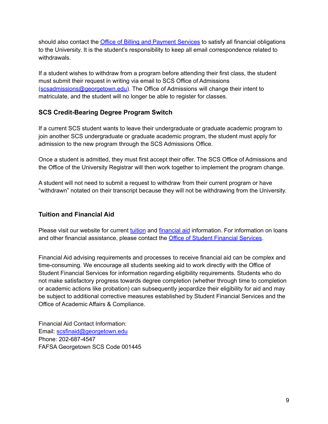should also contact the Office of Billing and [Payment](https://studentaccounts.georgetown.edu/) Services to satisfy all financial obligations to the University. It is the student's responsibility to keep all email correspondence related to withdrawals.

If a student wishes to withdraw from a program before attending their first class, the student must submit their request in writing via email to SCS Office of Admissions ([scsadmissions@georgetown.edu](mailto:scsadmissions@georgetown.edu)). The Office of Admissions will change their intent to matriculate, and the student will no longer be able to register for classes.

# **SCS Credit-Bearing Degree Program Switch**

If a current SCS student wants to leave their undergraduate or graduate academic program to join another SCS undergraduate or graduate academic program, the student must apply for admission to the new program through the SCS Admissions Office.

Once a student is admitted, they must first accept their offer. The SCS Office of Admissions and the Office of the University Registrar will then work together to implement the program change.

A student will not need to submit a request to withdraw from their current program or have "withdrawn" notated on their transcript because they will not be withdrawing from the University.

# **Tuition and Financial Aid**

Please visit our website for current [tuition](https://scs.georgetown.edu/admissions/tuition/) and [financial](https://scs.georgetown.edu/admissions/financial-aid/) aid information. For information on loans and other financial assistance, please contact the **Office of Student [Financial](https://finaid.georgetown.edu/) Services**.

Financial Aid advising requirements and processes to receive financial aid can be complex and time-consuming. We encourage all students seeking aid to work directly with the Office of Student Financial Services for information regarding eligibility requirements. Students who do not make satisfactory progress towards degree completion (whether through time to completion or academic actions like probation) can subsequently jeopardize their eligibility for aid and may be subject to additional corrective measures established by Student Financial Services and the Office of Academic Affairs & Compliance.

Financial Aid Contact Information: Email: [scsfinaid@georgetown.edu](mailto:scsfinaid@georgetown.edu) Phone: 202-687-4547 FAFSA Georgetown SCS Code 001445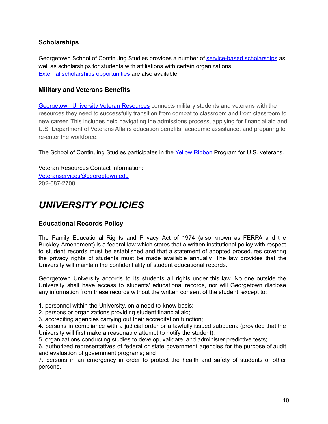#### **Scholarships**

Georgetown School of Continuing Studies provides a number of [service-based](https://scs.georgetown.edu/admissions/scholarships/) scholarships as well as scholarships for students with affiliations with certain organizations. External scholarships [opportunities](https://finaid.georgetown.edu/financial-resources/outside-scholarship-search) are also available.

#### **Military and Veterans Benefits**

[Georgetown](http://www.georgetown.edu/campus-life/offices-resources/veterans/index.html) University Veteran Resources connects military students and veterans with the resources they need to successfully transition from combat to classroom and from classroom to new career. This includes help navigating the admissions process, applying for financial aid and U.S. Department of Veterans Affairs education benefits, academic assistance, and preparing to re-enter the workforce.

The School of Continuing Studies participates in the Yellow [Ribbon](https://www.benefits.va.gov/gibill/yellow_ribbon.asp) Program for U.S. veterans.

Veteran Resources Contact Information: [Veteranservices@georgetown.edu](mailto:Veteranservices@georgetown.edu) 202-687-2708

# *UNIVERSITY POLICIES*

#### **Educational Records Policy**

The Family Educational Rights and Privacy Act of 1974 (also known as FERPA and the Buckley Amendment) is a federal law which states that a written institutional policy with respect to student records must be established and that a statement of adopted procedures covering the privacy rights of students must be made available annually. The law provides that the University will maintain the confidentiality of student educational records.

Georgetown University accords to its students all rights under this law. No one outside the University shall have access to students' educational records, nor will Georgetown disclose any information from these records without the written consent of the student, except to:

1. personnel within the University, on a need-to-know basis;

2. persons or organizations providing student financial aid;

3. accrediting agencies carrying out their accreditation function;

4. persons in compliance with a judicial order or a lawfully issued subpoena (provided that the University will first make a reasonable attempt to notify the student);

5. organizations conducting studies to develop, validate, and administer predictive tests;

6. authorized representatives of federal or state government agencies for the purpose of audit and evaluation of government programs; and

7. persons in an emergency in order to protect the health and safety of students or other persons.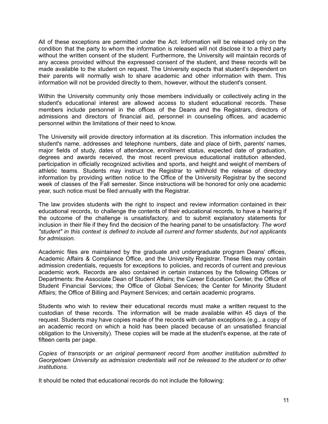All of these exceptions are permitted under the Act. Information will be released only on the condition that the party to whom the information is released will not disclose it to a third party without the written consent of the student. Furthermore, the University will maintain records of any access provided without the expressed consent of the student, and these records will be made available to the student on request. The University expects that student's dependent on their parents will normally wish to share academic and other information with them. This information will not be provided directly to them, however, without the student's consent.

Within the University community only those members individually or collectively acting in the student's educational interest are allowed access to student educational records. These members include personnel in the offices of the Deans and the Registrars, directors of admissions and directors of financial aid, personnel in counseling offices, and academic personnel within the limitations of their need to know.

The University will provide directory information at its discretion. This information includes the student's name, addresses and telephone numbers, date and place of birth, parents' names, major fields of study, dates of attendance, enrollment status, expected date of graduation, degrees and awards received, the most recent previous educational institution attended, participation in officially recognized activities and sports, and height and weight of members of athletic teams. Students may instruct the Registrar to withhold the release of directory information by providing written notice to the Office of the University Registrar by the second week of classes of the Fall semester. Since instructions will be honored for only one academic year, such notice must be filed annually with the Registrar.

The law provides students with the right to inspect and review information contained in their educational records, to challenge the contents of their educational records, to have a hearing if the outcome of the challenge is unsatisfactory, and to submit explanatory statements for inclusion in their file if they find the decision of the hearing panel to be unsatisfactory. *The word "student" in this context is defined to include all current and former students, but not applicants for admission.*

Academic files are maintained by the graduate and undergraduate program Deans' offices, Academic Affairs & Compliance Office, and the University Registrar. These files may contain admission credentials, requests for exceptions to policies, and records of current and previous academic work. Records are also contained in certain instances by the following Offices or Departments: the Associate Dean of Student Affairs; the Career Education Center, the Office of Student Financial Services; the Office of Global Services; the Center for Minority Student Affairs; the Office of Billing and Payment Services; and certain academic programs.

Students who wish to review their educational records must make a written request to the custodian of these records. The information will be made available within 45 days of the request. Students may have copies made of the records with certain exceptions (e.g., a copy of an academic record on which a hold has been placed because of an unsatisfied financial obligation to the University). These copies will be made at the student's expense, at the rate of fifteen cents per page.

*Copies of transcripts or an original permanent record from another institution submitted to Georgetown University as admission credentials will not be released to the student or to other institutions.*

It should be noted that educational records do not include the following: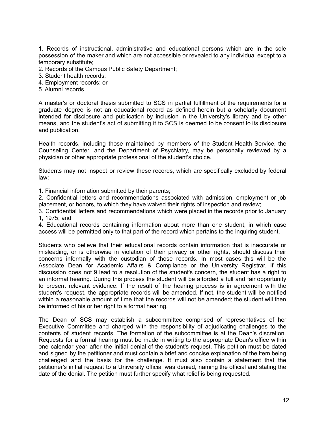1. Records of instructional, administrative and educational persons which are in the sole possession of the maker and which are not accessible or revealed to any individual except to a temporary substitute;

- 2. Records of the Campus Public Safety Department;
- 3. Student health records;
- 4. Employment records; or
- 5. Alumni records.

A master's or doctoral thesis submitted to SCS in partial fulfillment of the requirements for a graduate degree is not an educational record as defined herein but a scholarly document intended for disclosure and publication by inclusion in the University's library and by other means, and the student's act of submitting it to SCS is deemed to be consent to its disclosure and publication.

Health records, including those maintained by members of the Student Health Service, the Counseling Center, and the Department of Psychiatry, may be personally reviewed by a physician or other appropriate professional of the student's choice.

Students may not inspect or review these records, which are specifically excluded by federal law:

1. Financial information submitted by their parents;

2. Confidential letters and recommendations associated with admission, employment or job placement, or honors, to which they have waived their rights of inspection and review;

3. Confidential letters and recommendations which were placed in the records prior to January 1, 1975; and

4. Educational records containing information about more than one student, in which case access will be permitted only to that part of the record which pertains to the inquiring student.

Students who believe that their educational records contain information that is inaccurate or misleading, or is otherwise in violation of their privacy or other rights, should discuss their concerns informally with the custodian of those records. In most cases this will be the Associate Dean for Academic Affairs & Compliance or the University Registrar. If this discussion does not 9 lead to a resolution of the student's concern, the student has a right to an informal hearing. During this process the student will be afforded a full and fair opportunity to present relevant evidence. If the result of the hearing process is in agreement with the student's request, the appropriate records will be amended. If not, the student will be notified within a reasonable amount of time that the records will not be amended; the student will then be informed of his or her right to a formal hearing.

The Dean of SCS may establish a subcommittee comprised of representatives of her Executive Committee and charged with the responsibility of adjudicating challenges to the contents of student records. The formation of the subcommittee is at the Dean's discretion. Requests for a formal hearing must be made in writing to the appropriate Dean's office within one calendar year after the initial denial of the student's request. This petition must be dated and signed by the petitioner and must contain a brief and concise explanation of the item being challenged and the basis for the challenge. It must also contain a statement that the petitioner's initial request to a University official was denied, naming the official and stating the date of the denial. The petition must further specify what relief is being requested.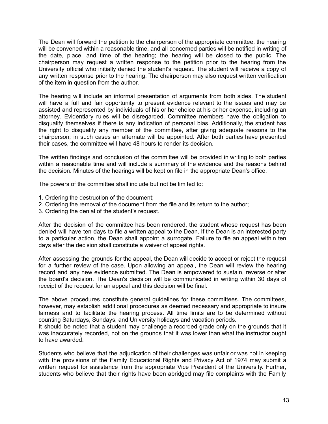The Dean will forward the petition to the chairperson of the appropriate committee, the hearing will be convened within a reasonable time, and all concerned parties will be notified in writing of the date, place, and time of the hearing; the hearing will be closed to the public. The chairperson may request a written response to the petition prior to the hearing from the University official who initially denied the student's request. The student will receive a copy of any written response prior to the hearing. The chairperson may also request written verification of the item in question from the author.

The hearing will include an informal presentation of arguments from both sides. The student will have a full and fair opportunity to present evidence relevant to the issues and may be assisted and represented by individuals of his or her choice at his or her expense, including an attorney. Evidentiary rules will be disregarded. Committee members have the obligation to disqualify themselves if there is any indication of personal bias. Additionally, the student has the right to disqualify any member of the committee, after giving adequate reasons to the chairperson; in such cases an alternate will be appointed. After both parties have presented their cases, the committee will have 48 hours to render its decision.

The written findings and conclusion of the committee will be provided in writing to both parties within a reasonable time and will include a summary of the evidence and the reasons behind the decision. Minutes of the hearings will be kept on file in the appropriate Dean's office.

The powers of the committee shall include but not be limited to:

- 1. Ordering the destruction of the document;
- 2. Ordering the removal of the document from the file and its return to the author;
- 3. Ordering the denial of the student's request.

After the decision of the committee has been rendered, the student whose request has been denied will have ten days to file a written appeal to the Dean. If the Dean is an interested party to a particular action, the Dean shall appoint a surrogate. Failure to file an appeal within ten days after the decision shall constitute a waiver of appeal rights.

After assessing the grounds for the appeal, the Dean will decide to accept or reject the request for a further review of the case. Upon allowing an appeal, the Dean will review the hearing record and any new evidence submitted. The Dean is empowered to sustain, reverse or alter the board's decision. The Dean's decision will be communicated in writing within 30 days of receipt of the request for an appeal and this decision will be final.

The above procedures constitute general guidelines for these committees. The committees, however, may establish additional procedures as deemed necessary and appropriate to insure fairness and to facilitate the hearing process. All time limits are to be determined without counting Saturdays, Sundays, and University holidays and vacation periods.

It should be noted that a student may challenge a recorded grade only on the grounds that it was inaccurately recorded, not on the grounds that it was lower than what the instructor ought to have awarded.

Students who believe that the adjudication of their challenges was unfair or was not in keeping with the provisions of the Family Educational Rights and Privacy Act of 1974 may submit a written request for assistance from the appropriate Vice President of the University. Further, students who believe that their rights have been abridged may file complaints with the Family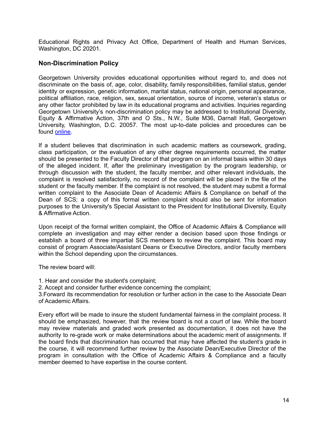Educational Rights and Privacy Act Office, Department of Health and Human Services, Washington, DC 20201.

#### **Non-Discrimination Policy**

Georgetown University provides educational opportunities without regard to, and does not discriminate on the basis of, age, color, disability, family responsibilities, familial status, gender identity or expression, genetic information, marital status, national origin, personal appearance, political affiliation, race, religion, sex, sexual orientation, source of income, veteran's status or any other factor prohibited by law in its educational programs and activities. Inquiries regarding Georgetown University's non-discrimination policy may be addressed to Institutional Diversity, Equity & Affirmative Action, 37th and O Sts., N.W., Suite M36, Darnall Hall, Georgetown University, Washington, D.C. 20057. The most up-to-date policies and procedures can be found [online.](https://ideaa.georgetown.edu/policies/)

If a student believes that discrimination in such academic matters as coursework, grading, class participation, or the evaluation of any other degree requirements occurred, the matter should be presented to the Faculty Director of that program on an informal basis within 30 days of the alleged incident. If, after the preliminary investigation by the program leadership, or through discussion with the student, the faculty member, and other relevant individuals, the complaint is resolved satisfactorily, no record of the complaint will be placed in the file of the student or the faculty member. If the complaint is not resolved, the student may submit a formal written complaint to the Associate Dean of Academic Affairs & Compliance on behalf of the Dean of SCS; a copy of this formal written complaint should also be sent for information purposes to the University's Special Assistant to the President for Institutional Diversity, Equity & Affirmative Action.

Upon receipt of the formal written complaint, the Office of Academic Affairs & Compliance will complete an investigation and may either render a decision based upon those findings or establish a board of three impartial SCS members to review the complaint. This board may consist of program Associate/Assistant Deans or Executive Directors, and/or faculty members within the School depending upon the circumstances.

The review board will:

1. Hear and consider the student's complaint;

2. Accept and consider further evidence concerning the complaint;

3.Forward its recommendation for resolution or further action in the case to the Associate Dean of Academic Affairs.

Every effort will be made to insure the student fundamental fairness in the complaint process. It should be emphasized, however, that the review board is not a court of law. While the board may review materials and graded work presented as documentation, it does not have the authority to re-grade work or make determinations about the academic merit of assignments. If the board finds that discrimination has occurred that may have affected the student's grade in the course, it will recommend further review by the Associate Dean/Executive Director of the program in consultation with the Office of Academic Affairs & Compliance and a faculty member deemed to have expertise in the course content.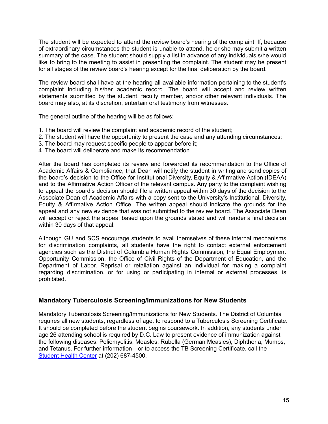The student will be expected to attend the review board's hearing of the complaint. If, because of extraordinary circumstances the student is unable to attend, he or she may submit a written summary of the case. The student should supply a list in advance of any individuals s/he would like to bring to the meeting to assist in presenting the complaint. The student may be present for all stages of the review board's hearing except for the final deliberation by the board.

The review board shall have at the hearing all available information pertaining to the student's complaint including his/her academic record. The board will accept and review written statements submitted by the student, faculty member, and/or other relevant individuals. The board may also, at its discretion, entertain oral testimony from witnesses.

The general outline of the hearing will be as follows:

- 1. The board will review the complaint and academic record of the student;
- 2. The student will have the opportunity to present the case and any attending circumstances;
- 3. The board may request specific people to appear before it;
- 4. The board will deliberate and make its recommendation.

After the board has completed its review and forwarded its recommendation to the Office of Academic Affairs & Compliance, that Dean will notify the student in writing and send copies of the board's decision to the Office for Institutional Diversity, Equity & Affirmative Action (IDEAA) and to the Affirmative Action Officer of the relevant campus. Any party to the complaint wishing to appeal the board's decision should file a written appeal within 30 days of the decision to the Associate Dean of Academic Affairs with a copy sent to the University's Institutional, Diversity, Equity & Affirmative Action Office. The written appeal should indicate the grounds for the appeal and any new evidence that was not submitted to the review board. The Associate Dean will accept or reject the appeal based upon the grounds stated and will render a final decision within 30 days of that appeal.

Although GU and SCS encourage students to avail themselves of these internal mechanisms for discrimination complaints, all students have the right to contact external enforcement agencies such as the District of Columbia Human Rights Commission, the Equal Employment Opportunity Commission, the Office of Civil Rights of the Department of Education, and the Department of Labor. Reprisal or retaliation against an individual for making a complaint regarding discrimination, or for using or participating in internal or external processes, is prohibited.

#### **Mandatory Tuberculosis Screening/Immunizations for New Students**

Mandatory Tuberculosis Screening/Immunizations for New Students. The District of Columbia requires all new students, regardless of age, to respond to a Tuberculosis Screening Certificate. It should be completed before the student begins coursework. In addition, any students under age 26 attending school is required by D.C. Law to present evidence of immunization against the following diseases: Poliomyelitis, Measles, Rubella (German Measles), Diphtheria, Mumps, and Tetanus. For further information—or to access the TB Screening Certificate, call the [Student](https://studenthealth.georgetown.edu/medical-care/) Health Center [a](http://studenthealth.georgetown.edu/medical-care/)t (202) 687-4500.